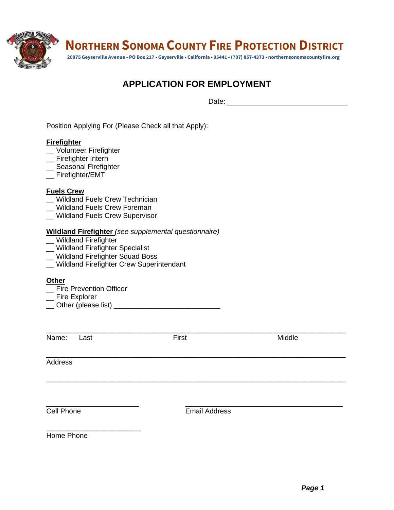

**NORTHERN SONOMA COUNTY FIRE PROTECTION DISTRICT**

 **20975 Geyserville Avenue • PO Box 217 • Geyserville • California • 95441 • (707) 857-4373 • northernsonomacountyfire.org**

# **APPLICATION FOR EMPLOYMENT**

Date: https://www.archive.com/

Position Applying For (Please Check all that Apply):

#### **Firefighter**

- \_\_ Volunteer Firefighter
- \_\_ Firefighter Intern
- \_ Seasonal Firefighter
- \_\_ Firefighter/EMT

### **Fuels Crew**

- \_\_ Wildland Fuels Crew Technician
- \_\_ Wildland Fuels Crew Foreman
- \_\_ Wildland Fuels Crew Supervisor

#### **Wildland Firefighter** *(see supplemental questionnaire)*

- \_\_ Wildland Firefighter
- \_\_ Wildland Firefighter Specialist
- \_\_ Wildland Firefighter Squad Boss
- \_\_ Wildland Firefighter Crew Superintendant

#### **Other**

- \_\_ Fire Prevention Officer
- \_\_ Fire Explorer
- \_\_ Other (please list) \_\_\_\_\_\_\_\_\_\_\_\_\_\_\_\_\_\_\_\_\_\_\_\_\_\_\_

\_\_\_\_\_\_\_\_\_\_\_\_\_\_\_\_\_\_\_\_\_\_\_\_\_\_\_\_\_\_\_\_\_\_\_\_\_\_\_\_\_\_\_\_\_\_\_\_\_\_\_\_\_\_\_\_\_\_\_\_\_\_\_\_\_\_\_\_\_\_\_\_\_\_\_\_ Name: Last **First** First **Middle** \_\_\_\_\_\_\_\_\_\_\_\_\_\_\_\_\_\_\_\_\_\_\_\_\_\_\_\_\_\_\_\_\_\_\_\_\_\_\_\_\_\_\_\_\_\_\_\_\_\_\_\_\_\_\_\_\_\_\_\_\_\_\_\_\_\_\_\_\_\_\_\_\_\_\_\_ **Address** \_\_\_\_\_\_\_\_\_\_\_\_\_\_\_\_\_\_\_\_\_\_\_\_\_\_\_\_\_\_\_\_\_\_\_\_\_\_\_\_\_\_\_\_\_\_\_\_\_\_\_\_\_\_\_\_\_\_\_\_\_\_\_\_\_\_\_\_\_\_\_\_\_\_\_\_  $\overline{\phantom{a}}$  , and the set of the set of the set of the set of the set of the set of the set of the set of the set of the set of the set of the set of the set of the set of the set of the set of the set of the set of the s

\_\_\_\_\_\_\_\_\_\_\_\_\_\_\_\_\_\_\_\_\_\_\_\_ Home Phone

Cell Phone **Email Address**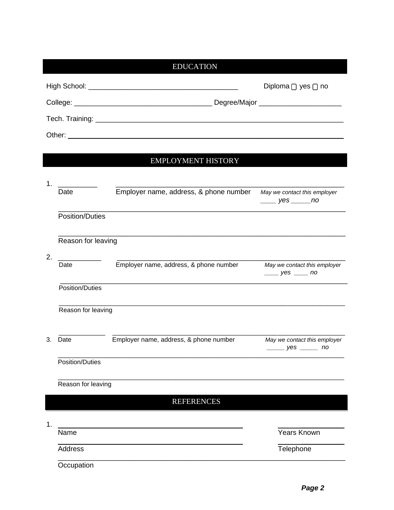| <b>EDUCATION</b> |  |                              |
|------------------|--|------------------------------|
|                  |  | Diploma $\cap$ yes $\cap$ no |
|                  |  |                              |
|                  |  |                              |
| Other:           |  |                              |

# **EMPLOYMENT HISTORY**

| 1. |                        |                                        |                                                                                  |
|----|------------------------|----------------------------------------|----------------------------------------------------------------------------------|
|    | Date                   | Employer name, address, & phone number | May we contact this employer<br>$\rule{1em}{0.15mm}$ yes $\rule{1em}{0.15mm}$ no |
|    | <b>Position/Duties</b> |                                        |                                                                                  |
|    | Reason for leaving     |                                        |                                                                                  |
| 2. | Date                   | Employer name, address, & phone number | May we contact this employer<br>$\rule{1em}{0.15mm}$ yes $\rule{1em}{0.15mm}$ no |
|    | <b>Position/Duties</b> |                                        |                                                                                  |
|    | Reason for leaving     |                                        |                                                                                  |
| 3. | Date                   | Employer name, address, & phone number | May we contact this employer<br>$\rule{1em}{0.15mm}$ yes $\rule{1em}{0.15mm}$ no |
|    | <b>Position/Duties</b> |                                        |                                                                                  |
|    | Reason for leaving     |                                        |                                                                                  |
|    |                        | <b>REFERENCES</b>                      |                                                                                  |
| 1. |                        |                                        |                                                                                  |
|    | Name                   |                                        | <b>Years Known</b>                                                               |
|    | <b>Address</b>         |                                        | Telephone                                                                        |
|    | Occupation             |                                        |                                                                                  |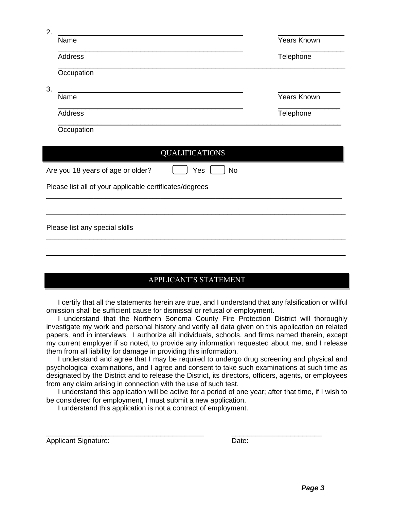| 2.         |                                                         |                    |
|------------|---------------------------------------------------------|--------------------|
| Name       |                                                         | <b>Years Known</b> |
| Address    |                                                         | Telephone          |
|            | Occupation                                              |                    |
| 3.<br>Name |                                                         | <b>Years Known</b> |
| Address    |                                                         | Telephone          |
|            | Occupation                                              |                    |
|            |                                                         |                    |
|            | <b>QUALIFICATIONS</b>                                   |                    |
|            | Are you 18 years of age or older?<br>Yes                | No                 |
|            | Please list all of your applicable certificates/degrees |                    |
|            |                                                         |                    |
|            | Please list any special skills                          |                    |
|            |                                                         |                    |
|            |                                                         |                    |

# APPLICANT'S STATEMENT

I certify that all the statements herein are true, and I understand that any falsification or willful omission shall be sufficient cause for dismissal or refusal of employment.

I understand that the Northern Sonoma County Fire Protection District will thoroughly investigate my work and personal history and verify all data given on this application on related papers, and in interviews. I authorize all individuals, schools, and firms named therein, except my current employer if so noted, to provide any information requested about me, and I release them from all liability for damage in providing this information.

I understand and agree that I may be required to undergo drug screening and physical and psychological examinations, and I agree and consent to take such examinations at such time as designated by the District and to release the District, its directors, officers, agents, or employees from any claim arising in connection with the use of such test.

I understand this application will be active for a period of one year; after that time, if I wish to be considered for employment, I must submit a new application.

\_\_\_\_\_\_\_\_\_\_\_\_\_\_\_\_\_\_\_\_\_\_\_\_\_\_\_\_\_\_\_\_\_\_\_\_\_\_\_\_ \_\_\_\_\_\_\_\_\_\_\_\_\_\_\_\_\_\_\_\_\_\_\_

I understand this application is not a contract of employment.

Applicant Signature: Date: Date: